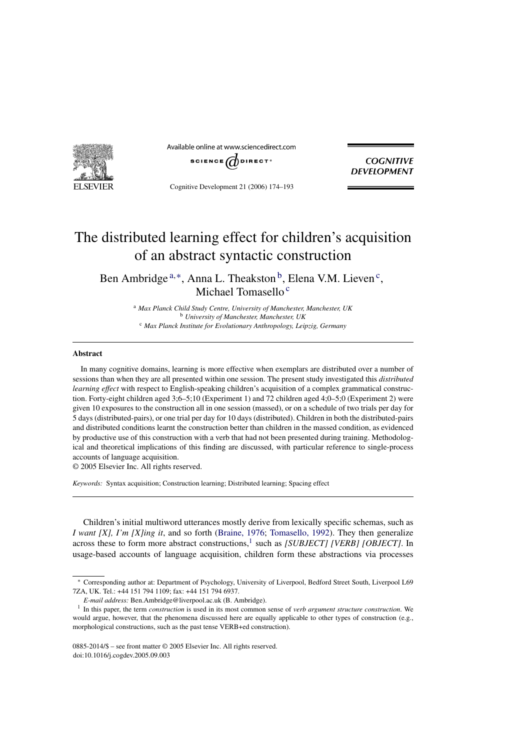

Available online at www.sciencedirect.com



Cognitive Development 21 (2006) 174–193

**COGNITIVE DEVELOPMENT** 

# The distributed learning effect for children's acquisition of an abstract syntactic construction

Ben Ambridge  $a, *$ , Anna L. Theakston  $b$ , Elena V.M. Lieven<sup>c</sup>, Michael Tomasello<sup>c</sup>

> <sup>a</sup> *Max Planck Child Study Centre, University of Manchester, Manchester, UK* <sup>b</sup> *University of Manchester, Manchester, UK* <sup>c</sup> *Max Planck Institute for Evolutionary Anthropology, Leipzig, Germany*

#### **Abstract**

In many cognitive domains, learning is more effective when exemplars are distributed over a number of sessions than when they are all presented within one session. The present study investigated this *distributed learning effect* with respect to English-speaking children's acquisition of a complex grammatical construction. Forty-eight children aged 3;6–5;10 (Experiment 1) and 72 children aged 4;0–5;0 (Experiment 2) were given 10 exposures to the construction all in one session (massed), or on a schedule of two trials per day for 5 days (distributed-pairs), or one trial per day for 10 days (distributed). Children in both the distributed-pairs and distributed conditions learnt the construction better than children in the massed condition, as evidenced by productive use of this construction with a verb that had not been presented during training. Methodological and theoretical implications of this finding are discussed, with particular reference to single-process accounts of language acquisition.

© 2005 Elsevier Inc. All rights reserved.

*Keywords:* Syntax acquisition; Construction learning; Distributed learning; Spacing effect

Children's initial multiword utterances mostly derive from lexically specific schemas, such as *I want [X], I'm [X]ing it*, and so forth ([Braine, 1976;](#page-17-0) [Tomasello, 1992\).](#page-19-0) They then generalize across these to form more abstract constructions,<sup>1</sup> such as *[SUBJECT] [VERB] [OBJECT]*. In usage-based accounts of language acquisition, children form these abstractions via processes

<sup>∗</sup> Corresponding author at: Department of Psychology, University of Liverpool, Bedford Street South, Liverpool L69 7ZA, UK. Tel.: +44 151 794 1109; fax: +44 151 794 6937.

*E-mail address:* Ben.Ambridge@liverpool.ac.uk (B. Ambridge).

<sup>1</sup> In this paper, the term *construction* is used in its most common sense of *verb argument structure construction*. We would argue, however, that the phenomena discussed here are equally applicable to other types of construction (e.g., morphological constructions, such as the past tense VERB+ed construction).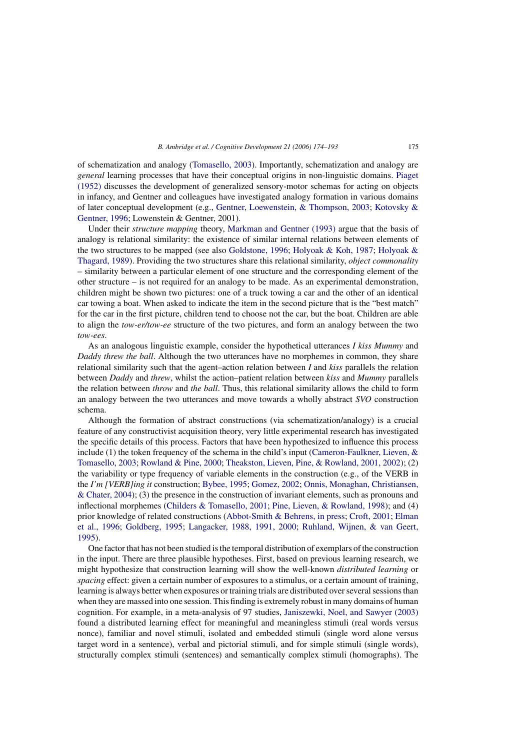of schematization and analogy [\(Tomasello, 2003\).](#page-19-0) Importantly, schematization and analogy are *general* learning processes that have their conceptual origins in non-linguistic domains. [Piaget](#page-18-0) [\(1952\)](#page-18-0) discusses the development of generalized sensory-motor schemas for acting on objects in infancy, and Gentner and colleagues have investigated analogy formation in various domains of later conceptual development (e.g., [Gentner, Loewenstein, & Thompson, 2003;](#page-18-0) [Kotovsky &](#page-18-0) [Gentner, 1996; L](#page-18-0)owenstein & Gentner, 2001).

Under their *structure mapping* theory, [Markman and Gentner \(1993\)](#page-18-0) argue that the basis of analogy is relational similarity: the existence of similar internal relations between elements of the two structures to be mapped (see also [Goldstone, 1996;](#page-18-0) [Holyoak & Koh, 1987;](#page-18-0) [Holyoak &](#page-18-0) [Thagard, 1989\).](#page-18-0) Providing the two structures share this relational similarity, *object commonality* – similarity between a particular element of one structure and the corresponding element of the other structure – is not required for an analogy to be made. As an experimental demonstration, children might be shown two pictures: one of a truck towing a car and the other of an identical car towing a boat. When asked to indicate the item in the second picture that is the "best match" for the car in the first picture, children tend to choose not the car, but the boat. Children are able to align the *tow-er/tow-ee* structure of the two pictures, and form an analogy between the two *tow-ees*.

As an analogous linguistic example, consider the hypothetical utterances *I kiss Mummy* and *Daddy threw the ball*. Although the two utterances have no morphemes in common, they share relational similarity such that the agent–action relation between *I* and *kiss* parallels the relation between *Daddy* and *threw*, whilst the action–patient relation between *kiss* and *Mummy* parallels the relation between *throw* and *the ball*. Thus, this relational similarity allows the child to form an analogy between the two utterances and move towards a wholly abstract *SVO* construction schema.

Although the formation of abstract constructions (via schematization/analogy) is a crucial feature of any constructivist acquisition theory, very little experimental research has investigated the specific details of this process. Factors that have been hypothesized to influence this process include (1) the token frequency of the schema in the child's input [\(Cameron-Faulkner, Lieven, &](#page-17-0) [Tomasello, 2003;](#page-17-0) [Rowland & Pine, 2000;](#page-18-0) [Theakston, Lieven, Pine, & Rowland, 2001, 2002\);](#page-19-0) (2) the variability or type frequency of variable elements in the construction (e.g., of the VERB in the *I'm [VERB]ing it* construction; [Bybee, 1995;](#page-17-0) [Gomez, 2002;](#page-18-0) [Onnis, Monaghan, Christiansen,](#page-18-0) [& Chater, 2004\);](#page-18-0) (3) the presence in the construction of invariant elements, such as pronouns and inflectional morphemes [\(Childers & Tomasello, 2001;](#page-18-0) [Pine, Lieven, & Rowland, 1998\);](#page-18-0) and (4) prior knowledge of related constructions [\(Abbot-Smith & Behrens, in press;](#page-17-0) [Croft, 2001;](#page-18-0) [Elman](#page-18-0) [et al., 1996;](#page-18-0) [Goldberg, 1995;](#page-18-0) [Langacker, 1988, 1991, 2000;](#page-18-0) [Ruhland, Wijnen, & van Geert,](#page-19-0) [1995\).](#page-19-0)

One factor that has not been studied is the temporal distribution of exemplars of the construction in the input. There are three plausible hypotheses. First, based on previous learning research, we might hypothesize that construction learning will show the well-known *distributed learning* or *spacing* effect: given a certain number of exposures to a stimulus, or a certain amount of training, learning is always better when exposures or training trials are distributed over several sessions than when they are massed into one session. This finding is extremely robust in many domains of human cognition. For example, in a meta-analysis of 97 studies, [Janiszewki, Noel, and Sawyer \(2003\)](#page-18-0) found a distributed learning effect for meaningful and meaningless stimuli (real words versus nonce), familiar and novel stimuli, isolated and embedded stimuli (single word alone versus target word in a sentence), verbal and pictorial stimuli, and for simple stimuli (single words), structurally complex stimuli (sentences) and semantically complex stimuli (homographs). The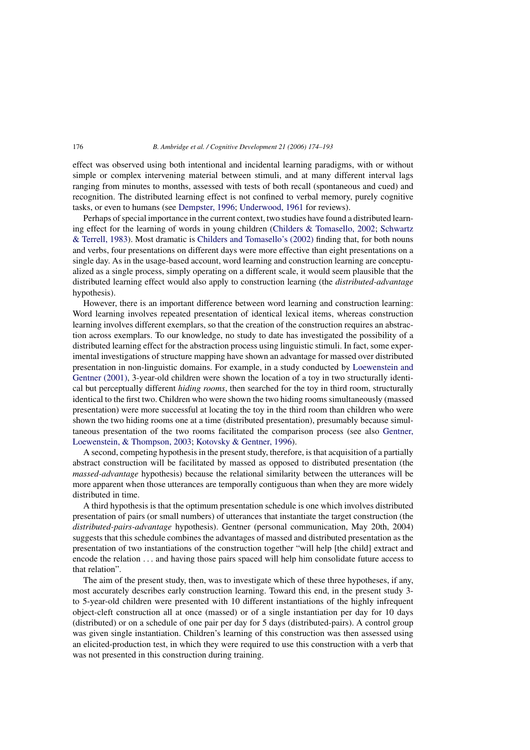effect was observed using both intentional and incidental learning paradigms, with or without simple or complex intervening material between stimuli, and at many different interval lags ranging from minutes to months, assessed with tests of both recall (spontaneous and cued) and recognition. The distributed learning effect is not confined to verbal memory, purely cognitive tasks, or even to humans (see [Dempster, 1996;](#page-18-0) [Underwood, 1961](#page-19-0) for reviews).

Perhaps of special importance in the current context, two studies have found a distributed learning effect for the learning of words in young children [\(Childers & Tomasello, 2002;](#page-18-0) [Schwartz](#page-19-0) [& Terrell, 1983\).](#page-19-0) Most dramatic is [Childers and Tomasello's \(2002\)](#page-18-0) finding that, for both nouns and verbs, four presentations on different days were more effective than eight presentations on a single day. As in the usage-based account, word learning and construction learning are conceptualized as a single process, simply operating on a different scale, it would seem plausible that the distributed learning effect would also apply to construction learning (the *distributed-advantage* hypothesis).

However, there is an important difference between word learning and construction learning: Word learning involves repeated presentation of identical lexical items, whereas construction learning involves different exemplars, so that the creation of the construction requires an abstraction across exemplars. To our knowledge, no study to date has investigated the possibility of a distributed learning effect for the abstraction process using linguistic stimuli. In fact, some experimental investigations of structure mapping have shown an advantage for massed over distributed presentation in non-linguistic domains. For example, in a study conducted by [Loewenstein and](#page-18-0) [Gentner \(2001\),](#page-18-0) 3-year-old children were shown the location of a toy in two structurally identical but perceptually different *hiding rooms*, then searched for the toy in third room, structurally identical to the first two. Children who were shown the two hiding rooms simultaneously (massed presentation) were more successful at locating the toy in the third room than children who were shown the two hiding rooms one at a time (distributed presentation), presumably because simultaneous presentation of the two rooms facilitated the comparison process (see also [Gentner,](#page-18-0) [Loewenstein, & Thompson, 2003;](#page-18-0) [Kotovsky & Gentner, 1996\).](#page-18-0)

A second, competing hypothesis in the present study, therefore, is that acquisition of a partially abstract construction will be facilitated by massed as opposed to distributed presentation (the *massed-advantage* hypothesis) because the relational similarity between the utterances will be more apparent when those utterances are temporally contiguous than when they are more widely distributed in time.

A third hypothesis is that the optimum presentation schedule is one which involves distributed presentation of pairs (or small numbers) of utterances that instantiate the target construction (the *distributed-pairs-advantage* hypothesis). Gentner (personal communication, May 20th, 2004) suggests that this schedule combines the advantages of massed and distributed presentation as the presentation of two instantiations of the construction together "will help [the child] extract and encode the relation ... and having those pairs spaced will help him consolidate future access to that relation".

The aim of the present study, then, was to investigate which of these three hypotheses, if any, most accurately describes early construction learning. Toward this end, in the present study 3 to 5-year-old children were presented with 10 different instantiations of the highly infrequent object-cleft construction all at once (massed) or of a single instantiation per day for 10 days (distributed) or on a schedule of one pair per day for 5 days (distributed-pairs). A control group was given single instantiation. Children's learning of this construction was then assessed using an elicited-production test, in which they were required to use this construction with a verb that was not presented in this construction during training.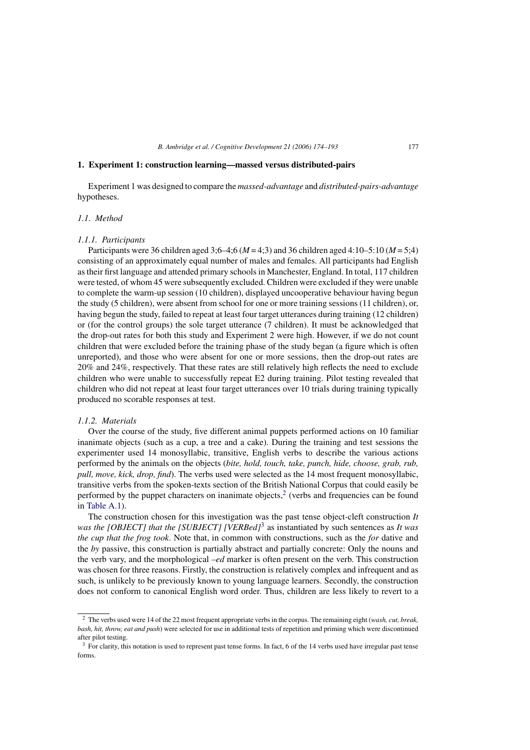#### **1. Experiment 1: construction learning—massed versus distributed-pairs**

Experiment 1 was designed to compare the *massed-advantage* and *distributed-pairs-advantage* hypotheses.

## *1.1. Method*

#### *1.1.1. Participants*

Participants were 36 children aged 3;6–4;6 (*M* = 4;3) and 36 children aged 4:10–5:10 (*M* = 5;4) consisting of an approximately equal number of males and females. All participants had English as their first language and attended primary schools in Manchester, England. In total, 117 children were tested, of whom 45 were subsequently excluded. Children were excluded if they were unable to complete the warm-up session (10 children), displayed uncooperative behaviour having begun the study (5 children), were absent from school for one or more training sessions (11 children), or, having begun the study, failed to repeat at least four target utterances during training (12 children) or (for the control groups) the sole target utterance (7 children). It must be acknowledged that the drop-out rates for both this study and Experiment 2 were high. However, if we do not count children that were excluded before the training phase of the study began (a figure which is often unreported), and those who were absent for one or more sessions, then the drop-out rates are 20% and 24%, respectively. That these rates are still relatively high reflects the need to exclude children who were unable to successfully repeat E2 during training. Pilot testing revealed that children who did not repeat at least four target utterances over 10 trials during training typically produced no scorable responses at test.

### *1.1.2. Materials*

Over the course of the study, five different animal puppets performed actions on 10 familiar inanimate objects (such as a cup, a tree and a cake). During the training and test sessions the experimenter used 14 monosyllabic, transitive, English verbs to describe the various actions performed by the animals on the objects (*bite, hold, touch, take, punch, hide, choose, grab, rub, pull, move, kick, drop, find*). The verbs used were selected as the 14 most frequent monosyllabic, transitive verbs from the spoken-texts section of the British National Corpus that could easily be performed by the puppet characters on inanimate objects,<sup>2</sup> (verbs and frequencies can be found in [Table A.1\).](#page-16-0)

The construction chosen for this investigation was the past tense object-cleft construction *It was the [OBJECT] that the [SUBJECT] [VERBed]*<sup>3</sup> as instantiated by such sentences as *It was the cup that the frog took*. Note that, in common with constructions, such as the *for* dative and the *by* passive, this construction is partially abstract and partially concrete: Only the nouns and the verb vary, and the morphological *–ed* marker is often present on the verb. This construction was chosen for three reasons. Firstly, the construction is relatively complex and infrequent and as such, is unlikely to be previously known to young language learners. Secondly, the construction does not conform to canonical English word order. Thus, children are less likely to revert to a

<sup>2</sup> The verbs used were 14 of the 22 most frequent appropriate verbs in the corpus. The remaining eight (*wash, cut, break, bash, hit, throw, eat and push*) were selected for use in additional tests of repetition and priming which were discontinued after pilot testing.

<sup>&</sup>lt;sup>3</sup> For clarity, this notation is used to represent past tense forms. In fact, 6 of the 14 verbs used have irregular past tense forms.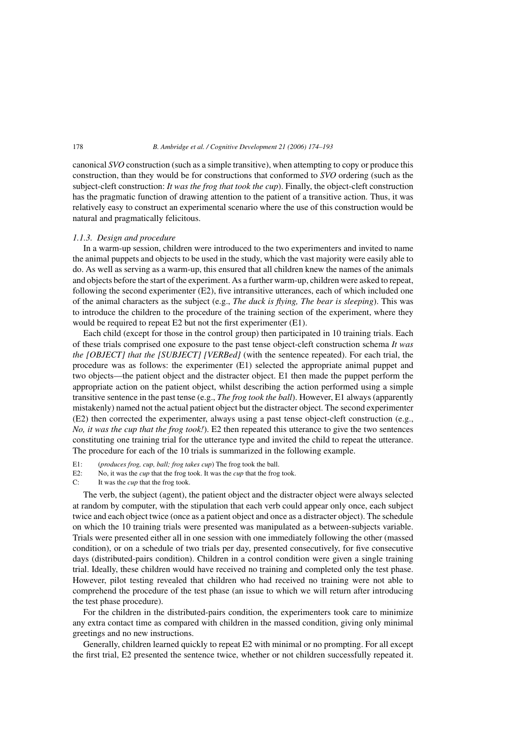canonical *SVO* construction (such as a simple transitive), when attempting to copy or produce this construction, than they would be for constructions that conformed to *SVO* ordering (such as the subject-cleft construction: *It was the frog that took the cup*). Finally, the object-cleft construction has the pragmatic function of drawing attention to the patient of a transitive action. Thus, it was relatively easy to construct an experimental scenario where the use of this construction would be natural and pragmatically felicitous.

#### *1.1.3. Design and procedure*

In a warm-up session, children were introduced to the two experimenters and invited to name the animal puppets and objects to be used in the study, which the vast majority were easily able to do. As well as serving as a warm-up, this ensured that all children knew the names of the animals and objects before the start of the experiment. As a further warm-up, children were asked to repeat, following the second experimenter (E2), five intransitive utterances, each of which included one of the animal characters as the subject (e.g., *The duck is flying, The bear is sleeping*). This was to introduce the children to the procedure of the training section of the experiment, where they would be required to repeat E2 but not the first experimenter (E1).

Each child (except for those in the control group) then participated in 10 training trials. Each of these trials comprised one exposure to the past tense object-cleft construction schema *It was the [OBJECT] that the [SUBJECT] [VERBed]* (with the sentence repeated). For each trial, the procedure was as follows: the experimenter (E1) selected the appropriate animal puppet and two objects—the patient object and the distracter object. E1 then made the puppet perform the appropriate action on the patient object, whilst describing the action performed using a simple transitive sentence in the past tense (e.g., *The frog took the ball*). However, E1 always (apparently mistakenly) named not the actual patient object but the distracter object. The second experimenter (E2) then corrected the experimenter, always using a past tense object-cleft construction (e.g., *No, it was the cup that the frog took!*). E2 then repeated this utterance to give the two sentences constituting one training trial for the utterance type and invited the child to repeat the utterance. The procedure for each of the 10 trials is summarized in the following example.

C: It was the *cup* that the frog took.

The verb, the subject (agent), the patient object and the distracter object were always selected at random by computer, with the stipulation that each verb could appear only once, each subject twice and each object twice (once as a patient object and once as a distracter object). The schedule on which the 10 training trials were presented was manipulated as a between-subjects variable. Trials were presented either all in one session with one immediately following the other (massed condition), or on a schedule of two trials per day, presented consecutively, for five consecutive days (distributed-pairs condition). Children in a control condition were given a single training trial. Ideally, these children would have received no training and completed only the test phase. However, pilot testing revealed that children who had received no training were not able to comprehend the procedure of the test phase (an issue to which we will return after introducing the test phase procedure).

For the children in the distributed-pairs condition, the experimenters took care to minimize any extra contact time as compared with children in the massed condition, giving only minimal greetings and no new instructions.

Generally, children learned quickly to repeat E2 with minimal or no prompting. For all except the first trial, E2 presented the sentence twice, whether or not children successfully repeated it.

E1: (*produces frog, cup, ball; frog takes cup*) The frog took the ball.

E2: No, it was the *cup* that the frog took. It was the *cup* that the frog took.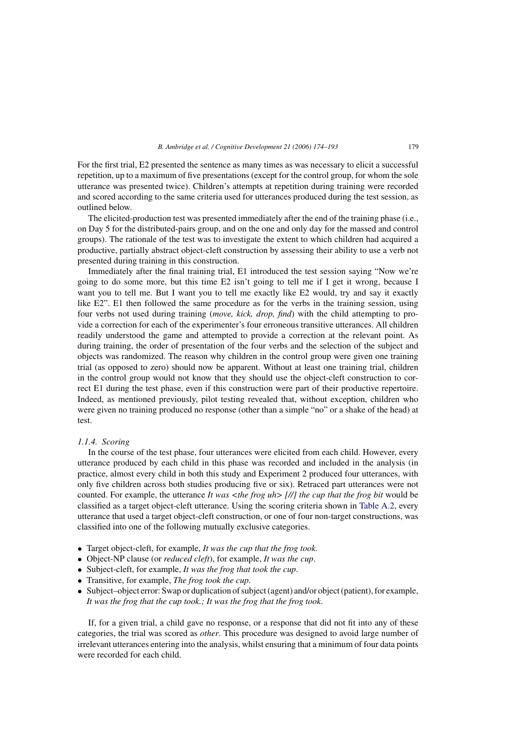For the first trial, E2 presented the sentence as many times as was necessary to elicit a successful repetition, up to a maximum of five presentations (except for the control group, for whom the sole utterance was presented twice). Children's attempts at repetition during training were recorded and scored according to the same criteria used for utterances produced during the test session, as outlined below.

The elicited-production test was presented immediately after the end of the training phase (i.e., on Day 5 for the distributed-pairs group, and on the one and only day for the massed and control groups). The rationale of the test was to investigate the extent to which children had acquired a productive, partially abstract object-cleft construction by assessing their ability to use a verb not presented during training in this construction.

Immediately after the final training trial, E1 introduced the test session saying "Now we're going to do some more, but this time E2 isn't going to tell me if I get it wrong, because I want you to tell me. But I want you to tell me exactly like E2 would, try and say it exactly like E2". E1 then followed the same procedure as for the verbs in the training session, using four verbs not used during training (*move, kick, drop, find*) with the child attempting to provide a correction for each of the experimenter's four erroneous transitive utterances. All children readily understood the game and attempted to provide a correction at the relevant point. As during training, the order of presentation of the four verbs and the selection of the subject and objects was randomized. The reason why children in the control group were given one training trial (as opposed to zero) should now be apparent. Without at least one training trial, children in the control group would not know that they should use the object-cleft construction to correct E1 during the test phase, even if this construction were part of their productive repertoire. Indeed, as mentioned previously, pilot testing revealed that, without exception, children who were given no training produced no response (other than a simple "no" or a shake of the head) at test.

#### *1.1.4. Scoring*

In the course of the test phase, four utterances were elicited from each child. However, every utterance produced by each child in this phase was recorded and included in the analysis (in practice, almost every child in both this study and Experiment 2 produced four utterances, with only five children across both studies producing five or six). Retraced part utterances were not counted. For example, the utterance *It was <the frog uh> [//] the cup that the frog bit* would be classified as a target object-cleft utterance. Using the scoring criteria shown in [Table A.2,](#page-17-0) every utterance that used a target object-cleft construction, or one of four non-target constructions, was classified into one of the following mutually exclusive categories.

- Target object-cleft, for example, *It was the cup that the frog took*.
- Object-NP clause (or *reduced cleft*), for example, *It was the cup*.
- Subject-cleft, for example, *It was the frog that took the cup*.
- Transitive, for example, *The frog took the cup.*
- Subject–object error: Swap or duplication of subject (agent) and/or object (patient), for example, *It was the frog that the cup took.; It was the frog that the frog took*.

If, for a given trial, a child gave no response, or a response that did not fit into any of these categories, the trial was scored as *other*. This procedure was designed to avoid large number of irrelevant utterances entering into the analysis, whilst ensuring that a minimum of four data points were recorded for each child.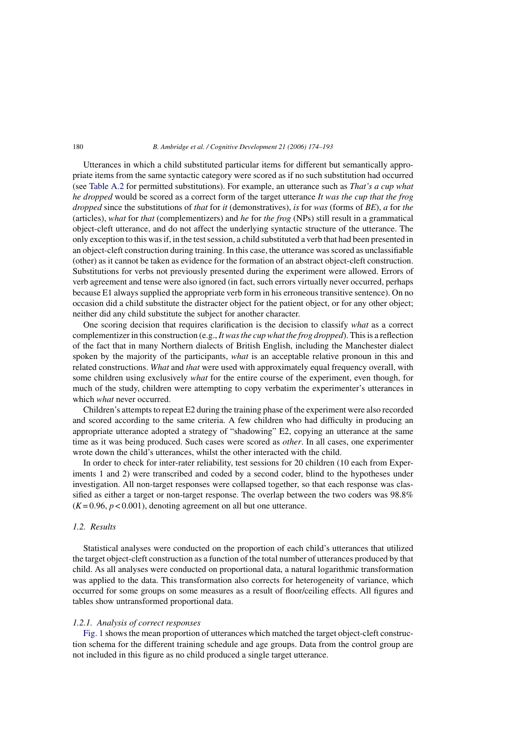Utterances in which a child substituted particular items for different but semantically appropriate items from the same syntactic category were scored as if no such substitution had occurred (see [Table A.2](#page-17-0) for permitted substitutions). For example, an utterance such as *That's a cup what he dropped* would be scored as a correct form of the target utterance *It was the cup that the frog dropped* since the substitutions of *that* for *it* (demonstratives), *is* for *was* (forms of *BE*), *a* for *the* (articles), *what* for *that* (complementizers) and *he* for *the frog* (NPs) still result in a grammatical object-cleft utterance, and do not affect the underlying syntactic structure of the utterance. The only exception to this was if, in the test session, a child substituted a verb that had been presented in an object-cleft construction during training. In this case, the utterance was scored as unclassifiable (other) as it cannot be taken as evidence for the formation of an abstract object-cleft construction. Substitutions for verbs not previously presented during the experiment were allowed. Errors of verb agreement and tense were also ignored (in fact, such errors virtually never occurred, perhaps because E1 always supplied the appropriate verb form in his erroneous transitive sentence). On no occasion did a child substitute the distracter object for the patient object, or for any other object; neither did any child substitute the subject for another character.

One scoring decision that requires clarification is the decision to classify *what* as a correct complementizer in this construction (e.g.,*It was the cup what the frog dropped*). This is a reflection of the fact that in many Northern dialects of British English, including the Manchester dialect spoken by the majority of the participants, *what* is an acceptable relative pronoun in this and related constructions. *What* and *that* were used with approximately equal frequency overall, with some children using exclusively *what* for the entire course of the experiment, even though, for much of the study, children were attempting to copy verbatim the experimenter's utterances in which *what* never occurred.

Children's attempts to repeat E2 during the training phase of the experiment were also recorded and scored according to the same criteria. A few children who had difficulty in producing an appropriate utterance adopted a strategy of "shadowing" E2, copying an utterance at the same time as it was being produced. Such cases were scored as *other*. In all cases, one experimenter wrote down the child's utterances, whilst the other interacted with the child.

In order to check for inter-rater reliability, test sessions for 20 children (10 each from Experiments 1 and 2) were transcribed and coded by a second coder, blind to the hypotheses under investigation. All non-target responses were collapsed together, so that each response was classified as either a target or non-target response. The overlap between the two coders was 98.8%  $(K = 0.96, p < 0.001)$ , denoting agreement on all but one utterance.

#### *1.2. Results*

Statistical analyses were conducted on the proportion of each child's utterances that utilized the target object-cleft construction as a function of the total number of utterances produced by that child. As all analyses were conducted on proportional data, a natural logarithmic transformation was applied to the data. This transformation also corrects for heterogeneity of variance, which occurred for some groups on some measures as a result of floor/ceiling effects. All figures and tables show untransformed proportional data.

## *1.2.1. Analysis of correct responses*

[Fig. 1](#page-7-0) shows the mean proportion of utterances which matched the target object-cleft construction schema for the different training schedule and age groups. Data from the control group are not included in this figure as no child produced a single target utterance.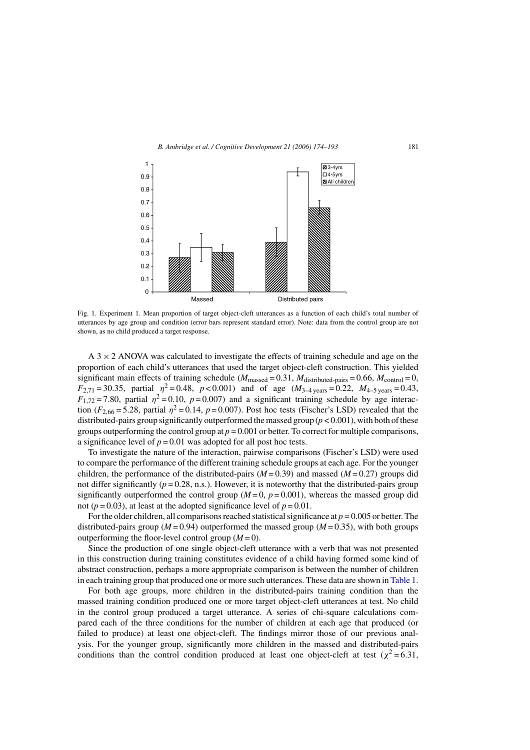<span id="page-7-0"></span>

Fig. 1. Experiment 1. Mean proportion of target object-cleft utterances as a function of each child's total number of utterances by age group and condition (error bars represent standard error). Note: data from the control group are not shown, as no child produced a target response.

 $A$  3  $\times$  2 ANOVA was calculated to investigate the effects of training schedule and age on the proportion of each child's utterances that used the target object-cleft construction. This yielded significant main effects of training schedule ( $M_{\text{massed}} = 0.31$ ,  $M_{\text{distributed-pairs}} = 0.66$ ,  $M_{\text{control}} = 0$ ,  $F_{2,71} = 30.35$ , partial  $\eta^2 = 0.48$ ,  $p < 0.001$ ) and of age  $(M_{3-4 \text{ years}} = 0.22, M_{4-5 \text{ years}} = 0.43$ ,  $F_{1,72}$  = 7.80, partial  $\eta^2$  = 0.10,  $p = 0.007$ ) and a significant training schedule by age interaction ( $F_{2,66} = 5.28$ , partial  $\eta^2 = 0.14$ ,  $p = 0.007$ ). Post hoc tests (Fischer's LSD) revealed that the distributed-pairs group significantly outperformed the massed group  $(p < 0.001)$ , with both of these groups outperforming the control group at  $p = 0.001$  or better. To correct for multiple comparisons, a significance level of  $p = 0.01$  was adopted for all post hoc tests.

To investigate the nature of the interaction, pairwise comparisons (Fischer's LSD) were used to compare the performance of the different training schedule groups at each age. For the younger children, the performance of the distributed-pairs  $(M=0.39)$  and massed  $(M=0.27)$  groups did not differ significantly  $(p = 0.28, n.s.)$ . However, it is noteworthy that the distributed-pairs group significantly outperformed the control group  $(M=0, p=0.001)$ , whereas the massed group did not ( $p = 0.03$ ), at least at the adopted significance level of  $p = 0.01$ .

For the older children, all comparisons reached statistical significance at  $p = 0.005$  or better. The distributed-pairs group ( $M = 0.94$ ) outperformed the massed group ( $M = 0.35$ ), with both groups outperforming the floor-level control group  $(M = 0)$ .

Since the production of one single object-cleft utterance with a verb that was not presented in this construction during training constitutes evidence of a child having formed some kind of abstract construction, perhaps a more appropriate comparison is between the number of children in each training group that produced one or more such utterances. These data are shown in [Table 1.](#page-8-0)

For both age groups, more children in the distributed-pairs training condition than the massed training condition produced one or more target object-cleft utterances at test. No child in the control group produced a target utterance. A series of chi-square calculations compared each of the three conditions for the number of children at each age that produced (or failed to produce) at least one object-cleft. The findings mirror those of our previous analysis. For the younger group, significantly more children in the massed and distributed-pairs conditions than the control condition produced at least one object-cleft at test ( $\chi^2$  = 6.31,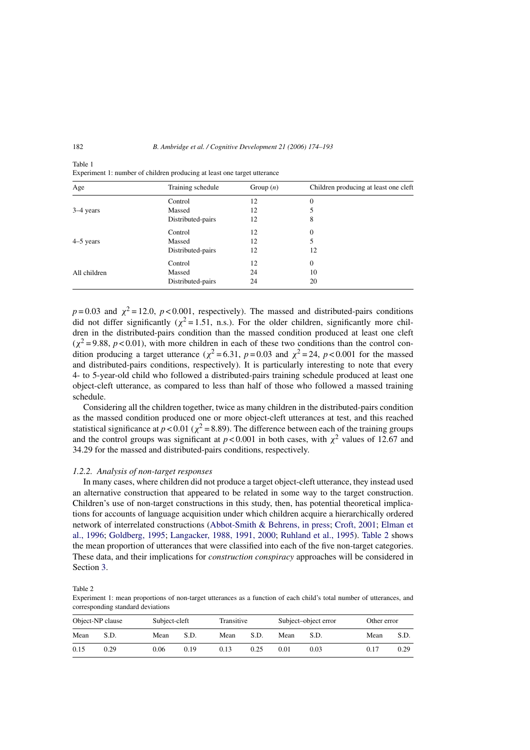| Age          | Training schedule | Group $(n)$ | Children producing at least one cleft |
|--------------|-------------------|-------------|---------------------------------------|
|              | Control           | 12          | $\theta$                              |
| $3-4$ years  | Massed            | 12          | 5                                     |
|              | Distributed-pairs | 12          | 8                                     |
|              | Control           | 12          | $\overline{0}$                        |
| $4-5$ years  | Massed            | 12          | 5                                     |
|              | Distributed-pairs | 12          | 12                                    |
|              | Control           | 12          | $\mathbf{0}$                          |
| All children | Massed            | 24          | 10                                    |
|              | Distributed-pairs | 24          | 20                                    |

<span id="page-8-0"></span>Table 1 Experiment 1: number of children producing at least one target utterance

 $p = 0.03$  and  $\chi^2 = 12.0$ ,  $p < 0.001$ , respectively). The massed and distributed-pairs conditions did not differ significantly ( $\chi^2$  = 1.51, n.s.). For the older children, significantly more children in the distributed-pairs condition than the massed condition produced at least one cleft  $(\chi^2 = 9.88, p < 0.01)$ , with more children in each of these two conditions than the control condition producing a target utterance ( $\chi^2$  = 6.31, *p* = 0.03 and  $\chi^2$  = 24, *p* < 0.001 for the massed and distributed-pairs conditions, respectively). It is particularly interesting to note that every 4- to 5-year-old child who followed a distributed-pairs training schedule produced at least one object-cleft utterance, as compared to less than half of those who followed a massed training schedule.

Considering all the children together, twice as many children in the distributed-pairs condition as the massed condition produced one or more object-cleft utterances at test, and this reached statistical significance at  $p < 0.01$  ( $\chi^2 = 8.89$ ). The difference between each of the training groups and the control groups was significant at  $p < 0.001$  in both cases, with  $\chi^2$  values of 12.67 and 34.29 for the massed and distributed-pairs conditions, respectively.

## *1.2.2. Analysis of non-target responses*

In many cases, where children did not produce a target object-cleft utterance, they instead used an alternative construction that appeared to be related in some way to the target construction. Children's use of non-target constructions in this study, then, has potential theoretical implications for accounts of language acquisition under which children acquire a hierarchically ordered network of interrelated constructions ([Abbot-Smith & Behrens, in press;](#page-17-0) [Croft, 2001;](#page-18-0) [Elman et](#page-18-0) [al., 1996;](#page-18-0) [Goldberg, 1995;](#page-18-0) [Langacker, 1988, 1991, 2000;](#page-18-0) [Ruhland et al., 1995\).](#page-19-0) Table 2 shows the mean proportion of utterances that were classified into each of the five non-target categories. These data, and their implications for *construction conspiracy* approaches will be considered in Section [3.](#page-12-0)

#### Table 2

Experiment 1: mean proportions of non-target utterances as a function of each child's total number of utterances, and corresponding standard deviations

|      | Object-NP clause | Subject-cleft |      | Transitive |      |      | Subject-object error | Other error |      |
|------|------------------|---------------|------|------------|------|------|----------------------|-------------|------|
| Mean | S.D.             | Mean          | S.D. | Mean       | S.D. | Mean | S.D.                 | Mean        | S.D. |
| 0.15 | 0.29             | 0.06          | 0.19 | 0.13       | 0.25 | 0.01 | 0.03                 | 0.17        | 0.29 |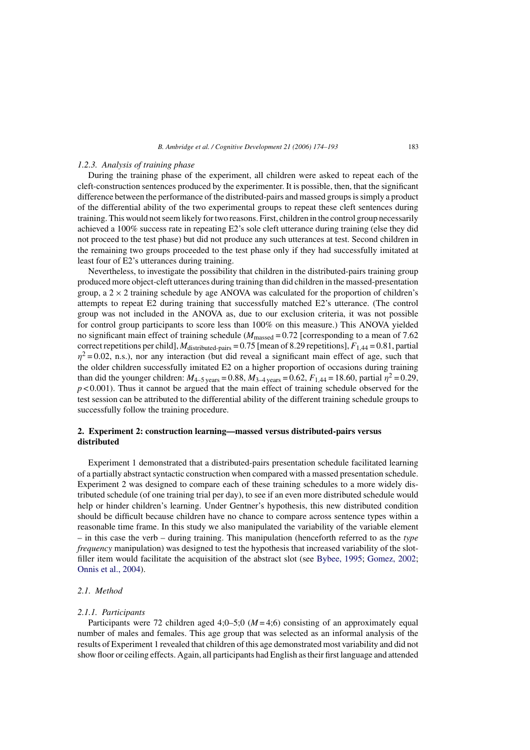#### *1.2.3. Analysis of training phase*

During the training phase of the experiment, all children were asked to repeat each of the cleft-construction sentences produced by the experimenter. It is possible, then, that the significant difference between the performance of the distributed-pairs and massed groups is simply a product of the differential ability of the two experimental groups to repeat these cleft sentences during training. This would not seem likely for two reasons. First, children in the control group necessarily achieved a 100% success rate in repeating E2's sole cleft utterance during training (else they did not proceed to the test phase) but did not produce any such utterances at test. Second children in the remaining two groups proceeded to the test phase only if they had successfully imitated at least four of E2's utterances during training.

Nevertheless, to investigate the possibility that children in the distributed-pairs training group produced more object-cleft utterances during training than did children in the massed-presentation group, a  $2 \times 2$  training schedule by age ANOVA was calculated for the proportion of children's attempts to repeat E2 during training that successfully matched E2's utterance. (The control group was not included in the ANOVA as, due to our exclusion criteria, it was not possible for control group participants to score less than 100% on this measure.) This ANOVA yielded no significant main effect of training schedule  $(M_{\text{massed}} = 0.72$  [corresponding to a mean of 7.62 correct repetitions per child],  $M_{\text{distributed-pairs}} = 0.75$  [mean of 8.29 repetitions],  $F_{1,44} = 0.81$ , partial  $\eta^2$  = 0.02, n.s.), nor any interaction (but did reveal a significant main effect of age, such that the older children successfully imitated E2 on a higher proportion of occasions during training than did the younger children:  $M_{4-5 \text{ years}} = 0.88$ ,  $M_{3-4 \text{ years}} = 0.62$ ,  $F_{1,44} = 18.60$ , partial  $\eta^2 = 0.29$ ,  $p < 0.001$ ). Thus it cannot be argued that the main effect of training schedule observed for the test session can be attributed to the differential ability of the different training schedule groups to successfully follow the training procedure.

## **2. Experiment 2: construction learning—massed versus distributed-pairs versus distributed**

Experiment 1 demonstrated that a distributed-pairs presentation schedule facilitated learning of a partially abstract syntactic construction when compared with a massed presentation schedule. Experiment 2 was designed to compare each of these training schedules to a more widely distributed schedule (of one training trial per day), to see if an even more distributed schedule would help or hinder children's learning. Under Gentner's hypothesis, this new distributed condition should be difficult because children have no chance to compare across sentence types within a reasonable time frame. In this study we also manipulated the variability of the variable element – in this case the verb – during training. This manipulation (henceforth referred to as the *type frequency* manipulation) was designed to test the hypothesis that increased variability of the slotfiller item would facilitate the acquisition of the abstract slot (see [Bybee, 1995;](#page-17-0) [Gomez, 2002;](#page-18-0) [Onnis et al., 2004\).](#page-18-0)

#### *2.1. Method*

#### *2.1.1. Participants*

Participants were 72 children aged 4;0–5;0 (*M* = 4;6) consisting of an approximately equal number of males and females. This age group that was selected as an informal analysis of the results of Experiment 1 revealed that children of this age demonstrated most variability and did not show floor or ceiling effects. Again, all participants had English as their first language and attended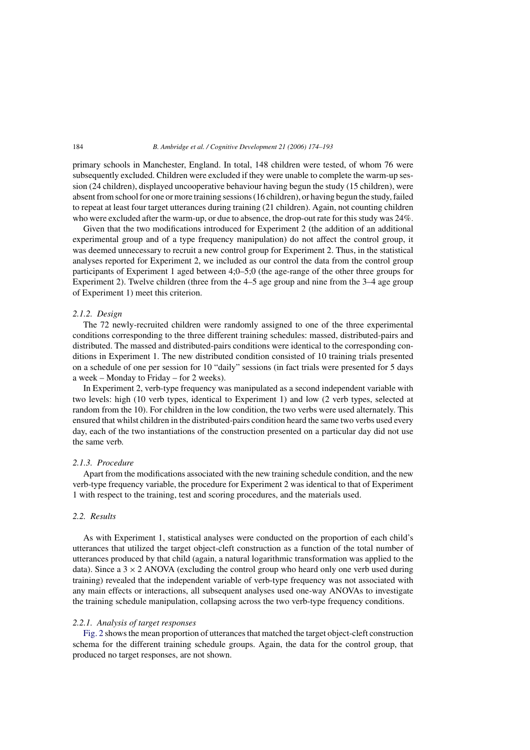primary schools in Manchester, England. In total, 148 children were tested, of whom 76 were subsequently excluded. Children were excluded if they were unable to complete the warm-up session (24 children), displayed uncooperative behaviour having begun the study (15 children), were absent from school for one or more training sessions (16 children), or having begun the study, failed to repeat at least four target utterances during training (21 children). Again, not counting children who were excluded after the warm-up, or due to absence, the drop-out rate for this study was 24%.

Given that the two modifications introduced for Experiment 2 (the addition of an additional experimental group and of a type frequency manipulation) do not affect the control group, it was deemed unnecessary to recruit a new control group for Experiment 2. Thus, in the statistical analyses reported for Experiment 2, we included as our control the data from the control group participants of Experiment 1 aged between 4;0–5;0 (the age-range of the other three groups for Experiment 2). Twelve children (three from the 4–5 age group and nine from the 3–4 age group of Experiment 1) meet this criterion.

#### *2.1.2. Design*

The 72 newly-recruited children were randomly assigned to one of the three experimental conditions corresponding to the three different training schedules: massed, distributed-pairs and distributed. The massed and distributed-pairs conditions were identical to the corresponding conditions in Experiment 1. The new distributed condition consisted of 10 training trials presented on a schedule of one per session for 10 "daily" sessions (in fact trials were presented for 5 days a week – Monday to Friday – for 2 weeks).

In Experiment 2, verb-type frequency was manipulated as a second independent variable with two levels: high (10 verb types, identical to Experiment 1) and low (2 verb types, selected at random from the 10). For children in the low condition, the two verbs were used alternately. This ensured that whilst children in the distributed-pairs condition heard the same two verbs used every day, each of the two instantiations of the construction presented on a particular day did not use the same verb.

### *2.1.3. Procedure*

Apart from the modifications associated with the new training schedule condition, and the new verb-type frequency variable, the procedure for Experiment 2 was identical to that of Experiment 1 with respect to the training, test and scoring procedures, and the materials used.

## *2.2. Results*

As with Experiment 1, statistical analyses were conducted on the proportion of each child's utterances that utilized the target object-cleft construction as a function of the total number of utterances produced by that child (again, a natural logarithmic transformation was applied to the data). Since a  $3 \times 2$  ANOVA (excluding the control group who heard only one verb used during training) revealed that the independent variable of verb-type frequency was not associated with any main effects or interactions, all subsequent analyses used one-way ANOVAs to investigate the training schedule manipulation, collapsing across the two verb-type frequency conditions.

## *2.2.1. Analysis of target responses*

[Fig. 2](#page-11-0) shows the mean proportion of utterances that matched the target object-cleft construction schema for the different training schedule groups. Again, the data for the control group, that produced no target responses, are not shown.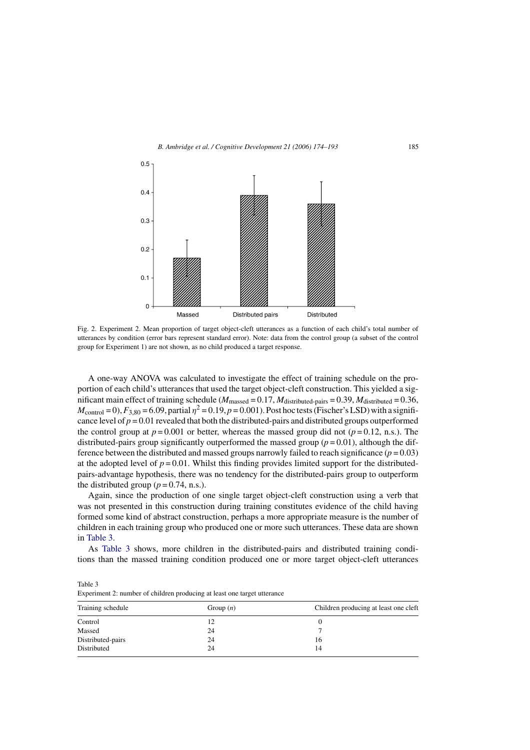<span id="page-11-0"></span>

Fig. 2. Experiment 2. Mean proportion of target object-cleft utterances as a function of each child's total number of utterances by condition (error bars represent standard error). Note: data from the control group (a subset of the control group for Experiment 1) are not shown, as no child produced a target response.

A one-way ANOVA was calculated to investigate the effect of training schedule on the proportion of each child's utterances that used the target object-cleft construction. This yielded a significant main effect of training schedule ( $M_{\text{massed}} = 0.17$ ,  $M_{\text{distributed-pairs}} = 0.39$ ,  $M_{\text{distributed}} = 0.36$ ,  $M_{\text{control}} = 0$ ,  $F_{3,80} = 6.09$ , partial  $\eta^2 = 0.19$ ,  $p = 0.001$ ). Post hoc tests (Fischer's LSD) with a significance level of  $p = 0.01$  revealed that both the distributed-pairs and distributed groups outperformed the control group at  $p = 0.001$  or better, whereas the massed group did not ( $p = 0.12$ , n.s.). The distributed-pairs group significantly outperformed the massed group  $(p=0.01)$ , although the difference between the distributed and massed groups narrowly failed to reach significance  $(p = 0.03)$ at the adopted level of  $p = 0.01$ . Whilst this finding provides limited support for the distributedpairs-advantage hypothesis, there was no tendency for the distributed-pairs group to outperform the distributed group  $(p=0.74, n.s.).$ 

Again, since the production of one single target object-cleft construction using a verb that was not presented in this construction during training constitutes evidence of the child having formed some kind of abstract construction, perhaps a more appropriate measure is the number of children in each training group who produced one or more such utterances. These data are shown in Table 3.

As Table 3 shows, more children in the distributed-pairs and distributed training conditions than the massed training condition produced one or more target object-cleft utterances

Table 3 Experiment 2: number of children producing at least one target utterance

| Training schedule | Group $(n)$ | Children producing at least one cleft |  |  |
|-------------------|-------------|---------------------------------------|--|--|
| Control           |             |                                       |  |  |
| Massed            | 24          |                                       |  |  |
| Distributed-pairs | 24          | 16                                    |  |  |
| Distributed       | 24          | 14                                    |  |  |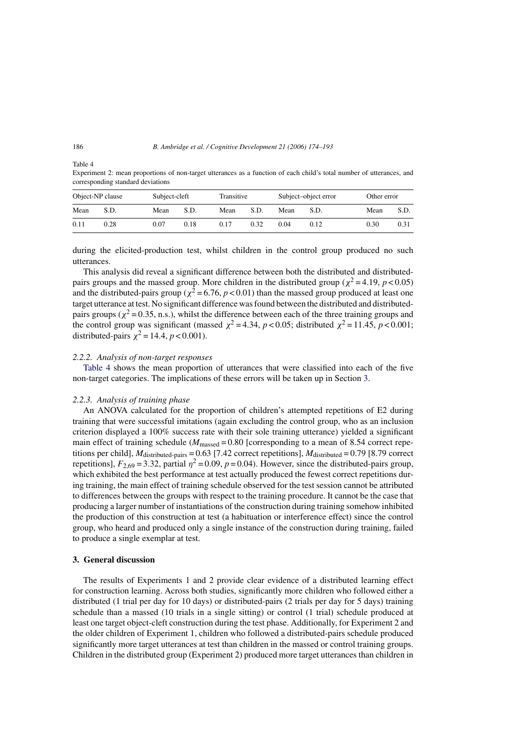|      | Object-NP clause | Subject-cleft |      | Transitive |      |      | Subject-object error | Other error |      |
|------|------------------|---------------|------|------------|------|------|----------------------|-------------|------|
| Mean | S.D.             | Mean          | S.D. | Mean       | S.D. | Mean | S.D.                 | Mean        | S.D. |
| 0.11 | 0.28             | 0.07          | 0.18 | 0.17       | 0.32 | 0.04 | 0.12                 | 0.30        | 0.31 |

Experiment 2: mean proportions of non-target utterances as a function of each child's total number of utterances, and corresponding standard deviations

during the elicited-production test, whilst children in the control group produced no such utterances.

This analysis did reveal a significant difference between both the distributed and distributedpairs groups and the massed group. More children in the distributed group ( $\chi^2$  = 4.19, *p* < 0.05) and the distributed-pairs group ( $\chi^2$  = 6.76, *p* < 0.01) than the massed group produced at least one target utterance at test. No significant difference was found between the distributed and distributedpairs groups ( $\chi^2$  = 0.35, n.s.), whilst the difference between each of the three training groups and the control group was significant (massed  $\chi^2$  = 4.34, *p* < 0.05; distributed  $\chi^2$  = 11.45, *p* < 0.001; distributed-pairs  $\chi^2$  = 14.4, *p* < 0.001).

## *2.2.2. Analysis of non-target responses*

Table 4 shows the mean proportion of utterances that were classified into each of the five non-target categories. The implications of these errors will be taken up in Section 3.

## *2.2.3. Analysis of training phase*

An ANOVA calculated for the proportion of children's attempted repetitions of E2 during training that were successful imitations (again excluding the control group, who as an inclusion criterion displayed a 100% success rate with their sole training utterance) yielded a significant main effect of training schedule  $(M_{\text{massed}} = 0.80$  [corresponding to a mean of 8.54 correct repetitions per child],  $M_{\text{distributed-pairs}} = 0.63$  [7.42 correct repetitions],  $M_{\text{distributed}} = 0.79$  [8.79 correct repetitions],  $F_{2,69} = 3.32$ , partial  $\eta^2 = 0.09$ ,  $p = 0.04$ ). However, since the distributed-pairs group, which exhibited the best performance at test actually produced the fewest correct repetitions during training, the main effect of training schedule observed for the test session cannot be attributed to differences between the groups with respect to the training procedure. It cannot be the case that producing a larger number of instantiations of the construction during training somehow inhibited the production of this construction at test (a habituation or interference effect) since the control group, who heard and produced only a single instance of the construction during training, failed to produce a single exemplar at test.

#### **3. General discussion**

The results of Experiments 1 and 2 provide clear evidence of a distributed learning effect for construction learning. Across both studies, significantly more children who followed either a distributed (1 trial per day for 10 days) or distributed-pairs (2 trials per day for 5 days) training schedule than a massed (10 trials in a single sitting) or control (1 trial) schedule produced at least one target object-cleft construction during the test phase. Additionally, for Experiment 2 and the older children of Experiment 1, children who followed a distributed-pairs schedule produced significantly more target utterances at test than children in the massed or control training groups. Children in the distributed group (Experiment 2) produced more target utterances than children in

<span id="page-12-0"></span>Table 4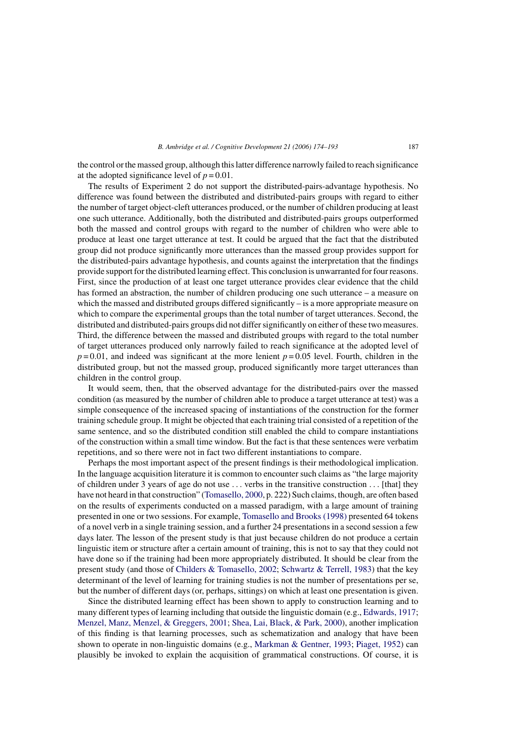the control or the massed group, although this latter difference narrowly failed to reach significance at the adopted significance level of  $p = 0.01$ .

The results of Experiment 2 do not support the distributed-pairs-advantage hypothesis. No difference was found between the distributed and distributed-pairs groups with regard to either the number of target object-cleft utterances produced, or the number of children producing at least one such utterance. Additionally, both the distributed and distributed-pairs groups outperformed both the massed and control groups with regard to the number of children who were able to produce at least one target utterance at test. It could be argued that the fact that the distributed group did not produce significantly more utterances than the massed group provides support for the distributed-pairs advantage hypothesis, and counts against the interpretation that the findings provide support for the distributed learning effect. This conclusion is unwarranted for four reasons. First, since the production of at least one target utterance provides clear evidence that the child has formed an abstraction, the number of children producing one such utterance – a measure on which the massed and distributed groups differed significantly – is a more appropriate measure on which to compare the experimental groups than the total number of target utterances. Second, the distributed and distributed-pairs groups did not differ significantly on either of these two measures. Third, the difference between the massed and distributed groups with regard to the total number of target utterances produced only narrowly failed to reach significance at the adopted level of  $p = 0.01$ , and indeed was significant at the more lenient  $p = 0.05$  level. Fourth, children in the distributed group, but not the massed group, produced significantly more target utterances than children in the control group.

It would seem, then, that the observed advantage for the distributed-pairs over the massed condition (as measured by the number of children able to produce a target utterance at test) was a simple consequence of the increased spacing of instantiations of the construction for the former training schedule group. It might be objected that each training trial consisted of a repetition of the same sentence, and so the distributed condition still enabled the child to compare instantiations of the construction within a small time window. But the fact is that these sentences were verbatim repetitions, and so there were not in fact two different instantiations to compare.

Perhaps the most important aspect of the present findings is their methodological implication. In the language acquisition literature it is common to encounter such claims as "the large majority of children under 3 years of age do not use ... verbs in the transitive construction ... [that] they have not heard in that construction" ([Tomasello, 2000, p](#page-19-0). 222) Such claims, though, are often based on the results of experiments conducted on a massed paradigm, with a large amount of training presented in one or two sessions. For example, [Tomasello and Brooks \(1998\)](#page-19-0) presented 64 tokens of a novel verb in a single training session, and a further 24 presentations in a second session a few days later. The lesson of the present study is that just because children do not produce a certain linguistic item or structure after a certain amount of training, this is not to say that they could not have done so if the training had been more appropriately distributed. It should be clear from the present study (and those of [Childers & Tomasello, 2002;](#page-18-0) [Schwartz & Terrell, 1983\)](#page-19-0) that the key determinant of the level of learning for training studies is not the number of presentations per se, but the number of different days (or, perhaps, sittings) on which at least one presentation is given.

Since the distributed learning effect has been shown to apply to construction learning and to many different types of learning including that outside the linguistic domain (e.g., [Edwards, 1917;](#page-18-0) [Menzel, Manz, Menzel, & Greggers, 2001;](#page-18-0) [Shea, Lai, Black, & Park, 2000\),](#page-19-0) another implication of this finding is that learning processes, such as schematization and analogy that have been shown to operate in non-linguistic domains (e.g., [Markman & Gentner, 1993;](#page-18-0) [Piaget, 1952\)](#page-18-0) can plausibly be invoked to explain the acquisition of grammatical constructions. Of course, it is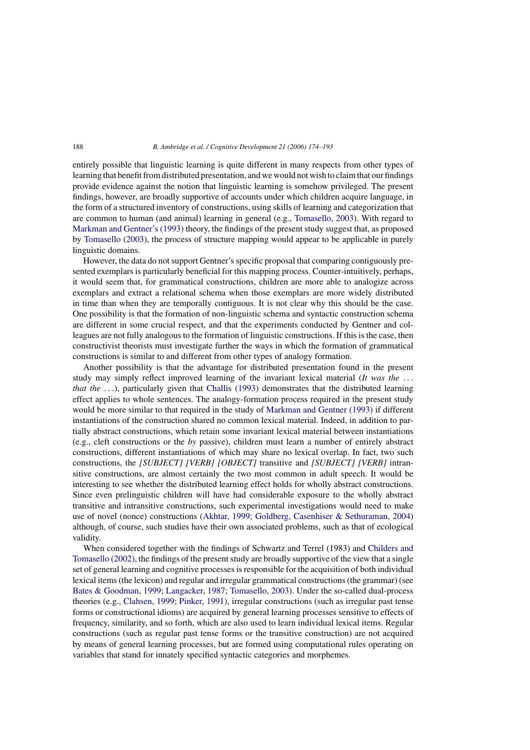entirely possible that linguistic learning is quite different in many respects from other types of learning that benefit from distributed presentation, and we would not wish to claim that our findings provide evidence against the notion that linguistic learning is somehow privileged. The present findings, however, are broadly supportive of accounts under which children acquire language, in the form of a structured inventory of constructions, using skills of learning and categorization that are common to human (and animal) learning in general (e.g., [Tomasello, 2003\).](#page-19-0) With regard to [Markman and Gentner's \(1993\)](#page-18-0) theory, the findings of the present study suggest that, as proposed by [Tomasello \(2003\),](#page-19-0) the process of structure mapping would appear to be applicable in purely linguistic domains.

However, the data do not support Gentner's specific proposal that comparing contiguously presented exemplars is particularly beneficial for this mapping process. Counter-intuitively, perhaps, it would seem that, for grammatical constructions, children are more able to analogize across exemplars and extract a relational schema when those exemplars are more widely distributed in time than when they are temporally contiguous. It is not clear why this should be the case. One possibility is that the formation of non-linguistic schema and syntactic construction schema are different in some crucial respect, and that the experiments conducted by Gentner and colleagues are not fully analogous to the formation of linguistic constructions. If this is the case, then constructivist theorists must investigate further the ways in which the formation of grammatical constructions is similar to and different from other types of analogy formation.

Another possibility is that the advantage for distributed presentation found in the present study may simply reflect improved learning of the invariant lexical material (*It was the* ... *that the* ...), particularly given that [Challis \(1993\)](#page-17-0) demonstrates that the distributed learning effect applies to whole sentences. The analogy-formation process required in the present study would be more similar to that required in the study of [Markman and Gentner \(1993\)](#page-18-0) if different instantiations of the construction shared no common lexical material. Indeed, in addition to partially abstract constructions, which retain some invariant lexical material between instantiations (e.g., cleft constructions or the *by* passive), children must learn a number of entirely abstract constructions, different instantiations of which may share no lexical overlap. In fact, two such constructions, the *[SUBJECT] [VERB] [OBJECT]* transitive and *[SUBJECT] [VERB]* intransitive constructions, are almost certainly the two most common in adult speech. It would be interesting to see whether the distributed learning effect holds for wholly abstract constructions. Since even prelinguistic children will have had considerable exposure to the wholly abstract transitive and intransitive constructions, such experimental investigations would need to make use of novel (nonce) constructions ([Akhtar, 1999;](#page-17-0) [Goldberg, Casenhiser & Sethuraman, 2004\)](#page-18-0) although, of course, such studies have their own associated problems, such as that of ecological validity.

When considered together with the findings of Schwartz and Terrel (1983) and [Childers and](#page-18-0) [Tomasello \(2002\), t](#page-18-0)he findings of the present study are broadly supportive of the view that a single set of general learning and cognitive processes is responsible for the acquisition of both individual lexical items (the lexicon) and regular and irregular grammatical constructions (the grammar) (see [Bates & Goodman, 1999;](#page-17-0) [Langacker, 1987;](#page-18-0) [Tomasello, 2003\).](#page-19-0) Under the so-called dual-process theories (e.g., [Clahsen, 1999;](#page-18-0) [Pinker, 1991\),](#page-18-0) irregular constructions (such as irregular past tense forms or constructional idioms) are acquired by general learning processes sensitive to effects of frequency, similarity, and so forth, which are also used to learn individual lexical items. Regular constructions (such as regular past tense forms or the transitive construction) are not acquired by means of general learning processes, but are formed using computational rules operating on variables that stand for innately specified syntactic categories and morphemes.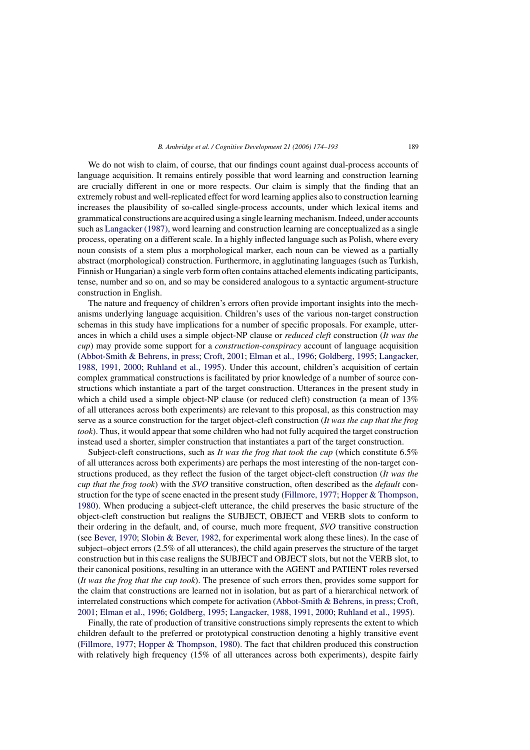We do not wish to claim, of course, that our findings count against dual-process accounts of language acquisition. It remains entirely possible that word learning and construction learning are crucially different in one or more respects. Our claim is simply that the finding that an extremely robust and well-replicated effect for word learning applies also to construction learning increases the plausibility of so-called single-process accounts, under which lexical items and grammatical constructions are acquired using a single learning mechanism. Indeed, under accounts such as [Langacker \(1987\),](#page-18-0) word learning and construction learning are conceptualized as a single process, operating on a different scale. In a highly inflected language such as Polish, where every noun consists of a stem plus a morphological marker, each noun can be viewed as a partially abstract (morphological) construction. Furthermore, in agglutinating languages (such as Turkish, Finnish or Hungarian) a single verb form often contains attached elements indicating participants, tense, number and so on, and so may be considered analogous to a syntactic argument-structure construction in English.

The nature and frequency of children's errors often provide important insights into the mechanisms underlying language acquisition. Children's uses of the various non-target construction schemas in this study have implications for a number of specific proposals. For example, utterances in which a child uses a simple object-NP clause or *reduced cleft* construction (*It was the cup*) may provide some support for a *construction-conspiracy* account of language acquisition [\(Abbot-Smith & Behrens, in press;](#page-17-0) [Croft, 2001;](#page-18-0) [Elman et al., 1996;](#page-18-0) [Goldberg, 1995;](#page-18-0) [Langacker,](#page-18-0) [1988, 1991, 2000;](#page-18-0) [Ruhland et al., 1995\).](#page-19-0) Under this account, children's acquisition of certain complex grammatical constructions is facilitated by prior knowledge of a number of source constructions which instantiate a part of the target construction. Utterances in the present study in which a child used a simple object-NP clause (or reduced cleft) construction (a mean of 13% of all utterances across both experiments) are relevant to this proposal, as this construction may serve as a source construction for the target object-cleft construction (*It was the cup that the frog took*). Thus, it would appear that some children who had not fully acquired the target construction instead used a shorter, simpler construction that instantiates a part of the target construction.

Subject-cleft constructions, such as *It was the frog that took the cup* (which constitute 6.5% of all utterances across both experiments) are perhaps the most interesting of the non-target constructions produced, as they reflect the fusion of the target object-cleft construction (*It was the cup that the frog took*) with the *SVO* transitive construction, often described as the *default* construction for the type of scene enacted in the present study [\(Fillmore, 1977;](#page-18-0) [Hopper & Thompson,](#page-18-0) [1980\).](#page-18-0) When producing a subject-cleft utterance, the child preserves the basic structure of the object-cleft construction but realigns the SUBJECT, OBJECT and VERB slots to conform to their ordering in the default, and, of course, much more frequent, *SVO* transitive construction (see [Bever, 1970;](#page-17-0) [Slobin & Bever, 1982,](#page-19-0) for experimental work along these lines). In the case of subject–object errors (2.5% of all utterances), the child again preserves the structure of the target construction but in this case realigns the SUBJECT and OBJECT slots, but not the VERB slot, to their canonical positions, resulting in an utterance with the AGENT and PATIENT roles reversed (*It was the frog that the cup took*). The presence of such errors then, provides some support for the claim that constructions are learned not in isolation, but as part of a hierarchical network of interrelated constructions which compete for activation ([Abbot-Smith & Behrens, in press;](#page-17-0) [Croft,](#page-18-0) [2001;](#page-18-0) [Elman et al., 1996;](#page-18-0) [Goldberg, 1995;](#page-18-0) [Langacker, 1988, 1991, 2000;](#page-18-0) [Ruhland et al., 1995\).](#page-19-0)

Finally, the rate of production of transitive constructions simply represents the extent to which children default to the preferred or prototypical construction denoting a highly transitive event [\(Fillmore, 1977;](#page-18-0) [Hopper & Thompson, 1980\).](#page-18-0) The fact that children produced this construction with relatively high frequency (15% of all utterances across both experiments), despite fairly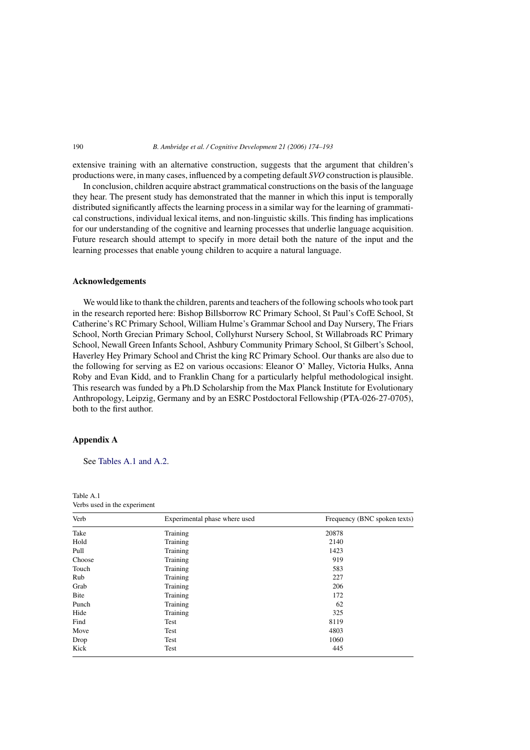<span id="page-16-0"></span>extensive training with an alternative construction, suggests that the argument that children's productions were, in many cases, influenced by a competing default *SVO* construction is plausible.

In conclusion, children acquire abstract grammatical constructions on the basis of the language they hear. The present study has demonstrated that the manner in which this input is temporally distributed significantly affects the learning process in a similar way for the learning of grammatical constructions, individual lexical items, and non-linguistic skills. This finding has implications for our understanding of the cognitive and learning processes that underlie language acquisition. Future research should attempt to specify in more detail both the nature of the input and the learning processes that enable young children to acquire a natural language.

#### **Acknowledgements**

We would like to thank the children, parents and teachers of the following schools who took part in the research reported here: Bishop Billsborrow RC Primary School, St Paul's CofE School, St Catherine's RC Primary School, William Hulme's Grammar School and Day Nursery, The Friars School, North Grecian Primary School, Collyhurst Nursery School, St Willabroads RC Primary School, Newall Green Infants School, Ashbury Community Primary School, St Gilbert's School, Haverley Hey Primary School and Christ the king RC Primary School. Our thanks are also due to the following for serving as E2 on various occasions: Eleanor O' Malley, Victoria Hulks, Anna Roby and Evan Kidd, and to Franklin Chang for a particularly helpful methodological insight. This research was funded by a Ph.D Scholarship from the Max Planck Institute for Evolutionary Anthropology, Leipzig, Germany and by an ESRC Postdoctoral Fellowship (PTA-026-27-0705), both to the first author.

## **Appendix A**

See Tables A.1 and A.2.

Table A.1 Verbs used in the experiment

| Verb   | Experimental phase where used | Frequency (BNC spoken texts) |
|--------|-------------------------------|------------------------------|
| Take   | Training                      | 20878                        |
| Hold   | Training                      | 2140                         |
| Pull   | Training                      | 1423                         |
| Choose | Training                      | 919                          |
| Touch  | Training                      | 583                          |
| Rub    | Training                      | 227                          |
| Grab   | Training                      | 206                          |
| Bite   | Training                      | 172                          |
| Punch  | Training                      | 62                           |
| Hide   | Training                      | 325                          |
| Find   | Test                          | 8119                         |
| Move   | Test                          | 4803                         |
| Drop   | Test                          | 1060                         |
| Kick   | Test                          | 445                          |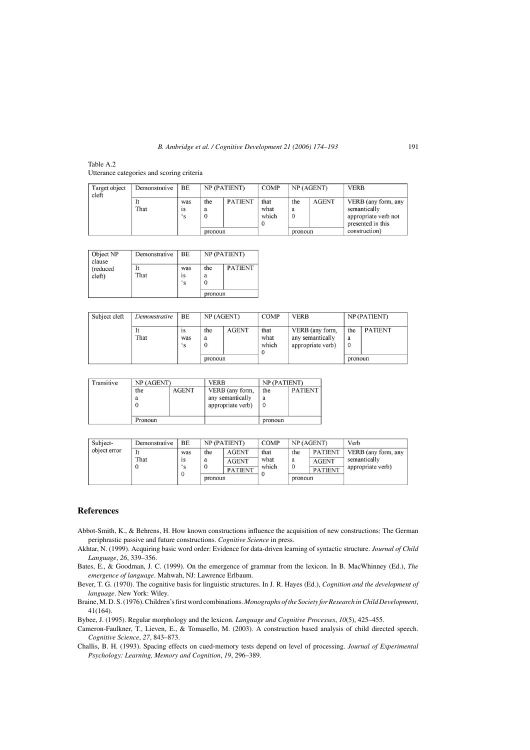## <span id="page-17-0"></span>Table A.2 Utterance categories and scoring criteria

| Target object<br>cleft | Demonstrative | <b>BE</b>       | NP (PATIENT)        |                | <b>COMP</b>           | NP (AGENT)    |              | <b>VERB</b>                                                                      |
|------------------------|---------------|-----------------|---------------------|----------------|-----------------------|---------------|--------------|----------------------------------------------------------------------------------|
|                        | That          | was<br>1S<br>`s | the<br>a<br>$\circ$ | <b>PATIENT</b> | that<br>what<br>which | the<br>a<br>0 | <b>AGENT</b> | VERB (any form, any<br>semantically<br>appropriate verb not<br>presented in this |
|                        |               |                 | pronoun             |                |                       | pronoun       |              | construction)                                                                    |

| Object NP<br>clause | Demonstrative | ВE              | NP (PATIENT)               |  |  |
|---------------------|---------------|-----------------|----------------------------|--|--|
| (reduced<br>cleft)  | That          | was<br>1S<br>`s | <b>PATIENT</b><br>the<br>a |  |  |
|                     |               |                 | pronoun                    |  |  |

| Subject cleft | Demonstrative | <b>BE</b>       | NP(AGENT) |              | <b>COMP</b>           | <b>VERB</b>                                              | NP (PATIENT)  |                |
|---------------|---------------|-----------------|-----------|--------------|-----------------------|----------------------------------------------------------|---------------|----------------|
|               | It<br>That    | 1S<br>was<br>`s | the<br>a  | <b>AGENT</b> | that<br>what<br>which | VERB (any form,<br>any semantically<br>appropriate verb) | the<br>a<br>0 | <b>PATIENT</b> |
|               |               |                 |           | pronoun      |                       |                                                          | pronoun       |                |

| Transitive | NP (AGENT) |              | <b>VERB</b>                                              | NP (PATIENT)  |                |  |
|------------|------------|--------------|----------------------------------------------------------|---------------|----------------|--|
|            | the<br>a   | <b>AGENT</b> | VERB (any form,<br>any semantically<br>appropriate verb) | the<br>a<br>0 | <b>PATIENT</b> |  |
|            | Pronoun    |              |                                                          | pronoun       |                |  |

| Subject-     | Demonstrative | <b>BE</b>      |                     | NP (PATIENT)                                   | <b>COMP</b>           |                                     | NP (AGENT)                                       | Verb                                                     |
|--------------|---------------|----------------|---------------------|------------------------------------------------|-----------------------|-------------------------------------|--------------------------------------------------|----------------------------------------------------------|
| object error | That          | was<br>1S<br>U | the<br>a<br>pronoun | <b>AGENT</b><br><b>AGENT</b><br><b>PATIENT</b> | that<br>what<br>which | the<br>a<br>$\mathbf{0}$<br>pronoun | <b>PATIENT</b><br><b>AGENT</b><br><b>PATIENT</b> | VERB (any form, any<br>semantically<br>appropriate verb) |

## **References**

- Abbot-Smith, K., & Behrens, H. How known constructions influence the acquisition of new constructions: The German periphrastic passive and future constructions. *Cognitive Science* in press.
- Akhtar, N. (1999). Acquiring basic word order: Evidence for data-driven learning of syntactic structure. *Journal of Child Language*, *26*, 339–356.
- Bates, E., & Goodman, J. C. (1999). On the emergence of grammar from the lexicon. In B. MacWhinney (Ed.), *The emergence of language*. Mahwah, NJ: Lawrence Erlbaum.
- Bever, T. G. (1970). The cognitive basis for linguistic structures. In J. R. Hayes (Ed.), *Cognition and the development of language*. New York: Wiley.
- Braine, M. D. S. (1976). Children's first word combinations. *Monographs of the Society for Research in Child Development*, 41(164).

Bybee, J. (1995). Regular morphology and the lexicon. *Language and Cognitive Processes*, *10*(5), 425–455.

- Cameron-Faulkner, T., Lieven, E., & Tomasello, M. (2003). A construction based analysis of child directed speech. *Cognitive Science*, *27*, 843–873.
- Challis, B. H. (1993). Spacing effects on cued-memory tests depend on level of processing. *Journal of Experimental Psychology: Learning, Memory and Cognition*, *19*, 296–389.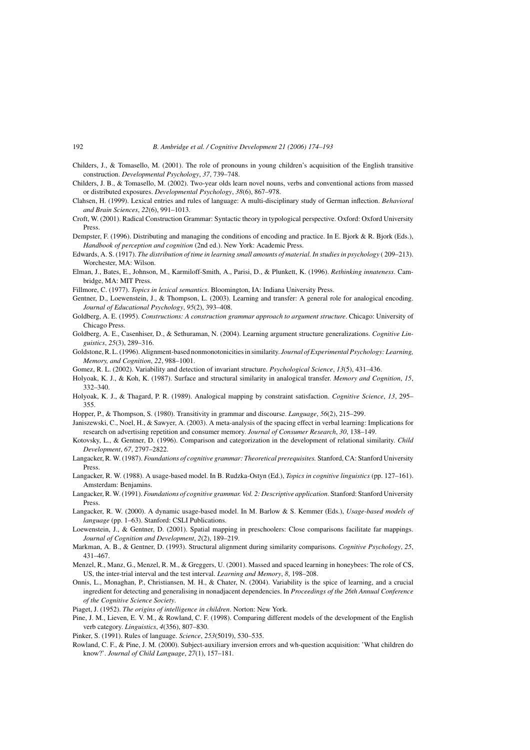- <span id="page-18-0"></span>Childers, J., & Tomasello, M. (2001). The role of pronouns in young children's acquisition of the English transitive construction. *Developmental Psychology*, *37*, 739–748.
- Childers, J. B., & Tomasello, M. (2002). Two-year olds learn novel nouns, verbs and conventional actions from massed or distributed exposures. *Developmental Psychology*, *38*(6), 867–978.
- Clahsen, H. (1999). Lexical entries and rules of language: A multi-disciplinary study of German inflection. *Behavioral and Brain Sciences*, *22*(6), 991–1013.
- Croft, W. (2001). Radical Construction Grammar: Syntactic theory in typological perspective. Oxford: Oxford University Press.
- Dempster, F. (1996). Distributing and managing the conditions of encoding and practice. In E. Bjork & R. Bjork (Eds.), *Handbook of perception and cognition* (2nd ed.). New York: Academic Press.
- Edwards, A. S. (1917). *The distribution of time in learning small amounts of material. In studies in psychology* ( 209–213). Worchester, MA: Wilson.
- Elman, J., Bates, E., Johnson, M., Karmiloff-Smith, A., Parisi, D., & Plunkett, K. (1996). *Rethinking innateness*. Cambridge, MA: MIT Press.

Fillmore, C. (1977). *Topics in lexical semantics*. Bloomington, IA: Indiana University Press.

- Gentner, D., Loewenstein, J., & Thompson, L. (2003). Learning and transfer: A general role for analogical encoding. *Journal of Educational Psychology*, *95*(2), 393–408.
- Goldberg, A. E. (1995). *Constructions: A construction grammar approach to argument structure*. Chicago: University of Chicago Press.
- Goldberg, A. E., Casenhiser, D., & Sethuraman, N. (2004). Learning argument structure generalizations. *Cognitive Linguistics*, *25*(3), 289–316.
- Goldstone, R. L. (1996). Alignment-based nonmonotonicities in similarity. *Journal of Experimental Psychology: Learning, Memory, and Cognition*, *22*, 988–1001.
- Gomez, R. L. (2002). Variability and detection of invariant structure. *Psychological Science*, *13*(5), 431–436.
- Holyoak, K. J., & Koh, K. (1987). Surface and structural similarity in analogical transfer. *Memory and Cognition*, *15*, 332–340.
- Holyoak, K. J., & Thagard, P. R. (1989). Analogical mapping by constraint satisfaction. *Cognitive Science*, *13*, 295– 355.
- Hopper, P., & Thompson, S. (1980). Transitivity in grammar and discourse. *Language*, *56*(2), 215–299.
- Janiszewski, C., Noel, H., & Sawyer, A. (2003). A meta-analysis of the spacing effect in verbal learning: Implications for research on advertising repetition and consumer memory. *Journal of Consumer Research*, *30*, 138–149.
- Kotovsky, L., & Gentner, D. (1996). Comparison and categorization in the development of relational similarity. *Child Development*, *67*, 2797–2822.
- Langacker, R. W. (1987). *Foundations of cognitive grammar: Theoretical prerequisites.* Stanford, CA: Stanford University Press.
- Langacker, R. W. (1988). A usage-based model. In B. Rudzka-Ostyn (Ed.), *Topics in cognitive linguistics* (pp. 127–161). Amsterdam: Benjamins.
- Langacker, R. W. (1991). *Foundations of cognitive grammar. Vol. 2: Descriptive application*. Stanford: Stanford University Press.
- Langacker, R. W. (2000). A dynamic usage-based model. In M. Barlow & S. Kemmer (Eds.), *Usage-based models of language* (pp. 1–63). Stanford: CSLI Publications.
- Loewenstein, J., & Gentner, D. (2001). Spatial mapping in preschoolers: Close comparisons facilitate far mappings. *Journal of Cognition and Development*, *2*(2), 189–219.
- Markman, A. B., & Gentner, D. (1993). Structural alignment during similarity comparisons. *Cognitive Psychology*, *25*, 431–467.
- Menzel, R., Manz, G., Menzel, R. M., & Greggers, U. (2001). Massed and spaced learning in honeybees: The role of CS, US, the inter-trial interval and the test interval. *Learning and Memory*, *8*, 198–208.
- Onnis, L., Monaghan, P., Christiansen, M. H., & Chater, N. (2004). Variability is the spice of learning, and a crucial ingredient for detecting and generalising in nonadjacent dependencies. In *Proceedings of the 26th Annual Conference of the Cognitive Science Society*.
- Piaget, J. (1952). *The origins of intelligence in children*. Norton: New York.
- Pine, J. M., Lieven, E. V. M., & Rowland, C. F. (1998). Comparing different models of the development of the English verb category. *Linguistics*, *4*(356), 807–830.
- Pinker, S. (1991). Rules of language. *Science*, *253*(5019), 530–535.
- Rowland, C. F., & Pine, J. M. (2000). Subject-auxiliary inversion errors and wh-question acquisition: 'What children do know?'. *Journal of Child Language*, *27*(1), 157–181.